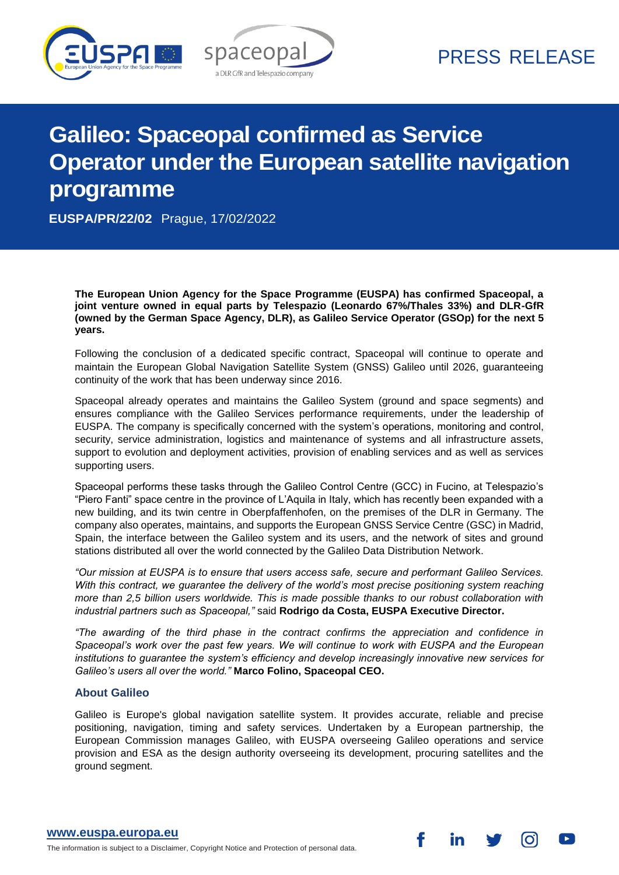



### PRESS RELEASE

# **Galileo: Spaceopal confirmed as Service Operator under the European satellite navigation programme**

**EUSPA/PR/22/02** Prague, 17/02/2022

**The European Union Agency for the Space Programme (EUSPA) has confirmed Spaceopal, a joint venture owned in equal parts by Telespazio (Leonardo 67%/Thales 33%) and DLR-GfR (owned by the German Space Agency, DLR), as Galileo Service Operator (GSOp) for the next 5 years.**

Following the conclusion of a dedicated specific contract, Spaceopal will continue to operate and maintain the European Global Navigation Satellite System (GNSS) Galileo until 2026, guaranteeing continuity of the work that has been underway since 2016.

Spaceopal already operates and maintains the Galileo System (ground and space segments) and ensures compliance with the Galileo Services performance requirements, under the leadership of EUSPA. The company is specifically concerned with the system's operations, monitoring and control, security, service administration, logistics and maintenance of systems and all infrastructure assets, support to evolution and deployment activities, provision of enabling services and as well as services supporting users.

Spaceopal performs these tasks through the Galileo Control Centre (GCC) in Fucino, at Telespazio's "Piero Fanti" space centre in the province of L'Aquila in Italy, which has recently been expanded with a new building, and its twin centre in Oberpfaffenhofen, on the premises of the DLR in Germany. The company also operates, maintains, and supports the European GNSS Service Centre (GSC) in Madrid, Spain, the interface between the Galileo system and its users, and the network of sites and ground stations distributed all over the world connected by the Galileo Data Distribution Network.

*"Our mission at EUSPA is to ensure that users access safe, secure and performant Galileo Services. With this contract, we guarantee the delivery of the world's most precise positioning system reaching more than 2,5 billion users worldwide. This is made possible thanks to our robust collaboration with industrial partners such as Spaceopal,"* said **Rodrigo da Costa, EUSPA Executive Director.** 

*"The awarding of the third phase in the contract confirms the appreciation and confidence in Spaceopal's work over the past few years. We will continue to work with EUSPA and the European institutions to guarantee the system's efficiency and develop increasingly innovative new services for Galileo's users all over the world."* **Marco Folino, Spaceopal CEO.**

### **About Galileo**

Galileo is Europe's global navigation satellite system. It provides accurate, reliable and precise positioning, navigation, timing and safety services. Undertaken by a European partnership, the European Commission manages Galileo, with EUSPA overseeing Galileo operations and service provision and ESA as the design authority overseeing its development, procuring satellites and the ground segment.

**[www.euspa.europa.eu](file://///admin.lan/pr/COMMUNICATIONS/NEWS%20-%20PR/PR/www.euspa.europa.eu)**

The information is subject to a Disclaimer, Copyright Notice and Protection of personal data.